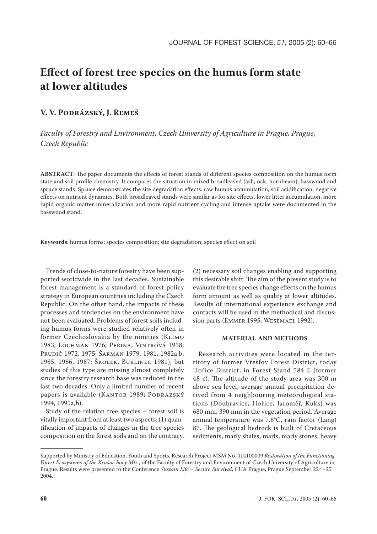# **Effect of forest tree species on the humus form state at lower altitudes**

## **V. V. PODRÁZSKÝ, J. REMEŠ**

*Faculty of Forestry and Environment, Czech University of Agriculture in Prague, Prague, Czech Republic*

**ABSTRACT**: The paper documents the effects of forest stands of different species composition on the humus form state and soil profile chemistry. It compares the situation in mixed broadleaved (ash, oak, hornbeam), basswood and spruce stands. Spruce demonstrates the site degradation effects: raw humus accumulation, soil acidification, negative effects on nutrient dynamics. Both broadleaved stands were similar as for site effects, lower litter accumulation, more rapid organic matter mineralization and more rapid nutrient cycling and intense uptake were documented in the basswood stand.

**Keywords**: humus forms; species composition; site degradation; species effect on soil

Trends of close-to-nature forestry have been supported worldwide in the last decades. Sustainable forest management is a standard of forest policy strategy in European countries including the Czech Republic. On the other hand, the impacts of these processes and tendencies on the environment have not been evaluated. Problems of forest soils including humus forms were studied relatively often in former Czechoslovakia by the nineties (KLIMO 1983; LOCHMAN 1976; PEŘINA, VINTROVÁ 1958; PRUDIČ 1972, 1975; ŠARMAN 1979, 1981, 1982a,b, 1985, 1986, 1987; ŠKOLEK, BUBLINEC 1981), but studies of this type are missing almost completely since the forestry research base was reduced in the last two decades. Only a limited number of recent papers is available (KANTOR 1989; PODRÁZSKÝ 1994, 1995a,b).

Study of the relation tree species – forest soil is vitally important from at least two aspects: (1) quantification of impacts of changes in the tree species composition on the forest soils and on the contrary,

(2) necessary soil changes enabling and supporting this desirable shift. The aim of the present study is to evaluate the tree species change effects on the humus form amount as well as quality at lower altitudes. Results of international experience exchange and contacts will be used in the methodical and discussion parts (EMMER 1995; WESEMAEL 1992).

#### **MATERIAL AND METHODS**

Research activities were located in the territory of former Vřešťov Forest District, today Hořice District, in Forest Stand 584 E (former 48 c). The altitude of the study area was 300 m above sea level, average annual precipitation derived from 4 neighbouring meteorological stations (Doubravice, Hořice, Jaroměř, Kuks) was 680 mm, 390 mm in the vegetation period. Average annual temperature was 7.8°C, rain factor (Lang) 87. The geological bedrock is built of Cretaceous sediments, marly shales, marls, marly stones, heavy

Supported by Ministry of Education, Youth and Sports, Research Project MSM No. 414100009 *Restoration of the Functioning Forest Ecosystems of the Krušné hory Mts.*, of the Faculty of Forestry and Environment of Czech University of Agriculture in Prague. Results were presented to the Conference *Sustain Life – Secure Survival*, CUA Prague, Prague September 22nd–25th 2004.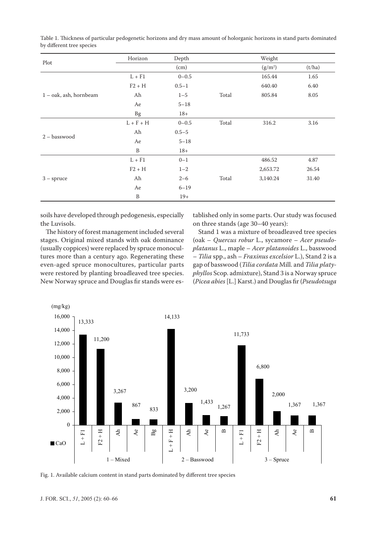|                                  | Horizon     | Depth     |       | Weight              |        |
|----------------------------------|-------------|-----------|-------|---------------------|--------|
| Plot                             |             | (cm)      |       | (g/m <sup>2</sup> ) | (t/ha) |
|                                  | $L + F1$    | $0 - 0.5$ |       | 165.44              | 1.65   |
|                                  | $F2 + H$    | $0.5 - 1$ |       | 640.40              | 6.40   |
| $1 - \text{oak}$ , ash, hornbeam | Ah          | $1 - 5$   | Total | 805.84              | 8.05   |
|                                  | Ae          | $5 - 18$  |       |                     |        |
|                                  | <b>Bg</b>   | $18+$     |       |                     |        |
|                                  | $L + F + H$ | $0 - 0.5$ | Total | 316.2               | 3.16   |
|                                  | Ah          | $0.5 - 5$ |       |                     |        |
| 2 - basswood                     | Ae          | $5 - 18$  |       |                     |        |
|                                  | B           | $18+$     |       |                     |        |
|                                  | $L + F1$    | $0 - 1$   |       | 486.52              | 4.87   |
|                                  | $F2 + H$    | $1 - 2$   |       | 2,653.72            | 26.54  |
| $3$ – spruce                     | Ah          | $2 - 6$   | Total | 3,140.24            | 31.40  |
|                                  | Ae          | $6 - 19$  |       |                     |        |
|                                  | B           | $19+$     |       |                     |        |

Table 1. Thickness of particular pedogenetic horizons and dry mass amount of holorganic horizons in stand parts dominated by different tree species

soils have developed through pedogenesis, especially the Luvisols.

The history of forest management included several stages. Original mixed stands with oak dominance (usually coppices) were replaced by spruce monocultures more than a century ago. Regenerating these even-aged spruce monocultures, particular parts were restored by planting broadleaved tree species. New Norway spruce and Douglas fir stands were es-

tablished only in some parts. Our study was focused on three stands (age 30–40 years):

Stand 1 was a mixture of broadleaved tree species (oak – *Quercus robur* L., sycamore – *Acer pseudoplatanus* L., maple – *Acer platanoides* L., basswood – *Tilia* spp., ash – *Fraxinus excelsior* L.), Stand 2 is a gap of basswood (*Tilia cordata* Mill. and *Tilia platyphyllos* Scop. admixture), Stand 3 is a Norway spruce (*Picea abies* [L.] Karst.) and Douglas fir (*Pseudotsuga* 



Fig. 1. Available calcium content in stand parts dominated by different tree species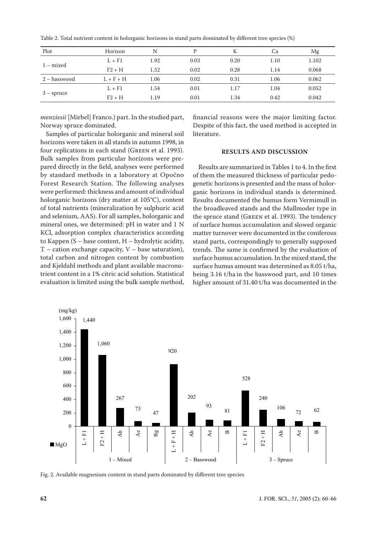Table 2. Total nutrient content in holorganic horizons in stand parts dominated by different tree species (%)

| Plot         | Horizon     | N    |      | К    | Ca   | Mg    |
|--------------|-------------|------|------|------|------|-------|
| $1 - mixed$  | $L + F1$    | 1.92 | 0.03 | 0.20 | 1.10 | 1.102 |
|              | $F2 + H$    | 1.52 | 0.02 | 0.28 | 1.14 | 0.068 |
| 2 – basswood | $L + F + H$ | 1.06 | 0.02 | 0.31 | 1.06 | 0.062 |
| 3 – spruce   | $L + F1$    | 1.54 | 0.01 | 1.17 | 1.04 | 0.052 |
|              | $F2 + H$    | 1.19 | 0.01 | 1.34 | 0.42 | 0.042 |

*menziesii* [Mirbel] Franco.) part. In the studied part, Norway spruce dominated.

Samples of particular holorganic and mineral soil horizons were taken in all stands in autumn 1998, in four replications in each stand (GREEN et al. 1993). Bulk samples from particular horizons were prepared directly in the field, analyses were performed by standard methods in a laboratory at Opočno Forest Research Station. The following analyses were performed: thickness and amount of individual holorganic horizons (dry matter at 105°C), content of total nutrients (mineralization by sulphuric acid and selenium, AAS). For all samples, holorganic and mineral ones, we determined: pH in water and 1 N KCl, adsorption complex characteristics according to Kappen  $(S - base content, H - hydrolytic acidity,$  $T$  – cation exchange capacity,  $V$  – base saturation), total carbon and nitrogen content by combustion and Kjeldahl methods and plant available macronutrient content in a 1% citric acid solution. Statistical evaluation is limited using the bulk sample method,

financial reasons were the major limiting factor. Despite of this fact, the used method is accepted in literature.

#### **RESULTS AND DISCUSSION**

Results are summarized in Tables 1 to 4. In the first of them the measured thickness of particular pedogenetic horizons is presented and the mass of holorganic horizons in individual stands is determined. Results documented the humus form Vermimull in the broadleaved stands and the Mullmoder type in the spruce stand (GREEN et al. 1993). The tendency of surface humus accumulation and slowed organic matter turnover were documented in the coniferous stand parts, correspondingly to generally supposed trends. The same is confirmed by the evaluation of surface humus accumulation. In the mixed stand, the surface humus amount was determined as 8.05 t/ha, being 3.16 t/ha in the basswood part, and 10 times higher amount of 31.40 t/ha was documented in the



Fig. 2. Available magnesium content in stand parts dominated by different tree species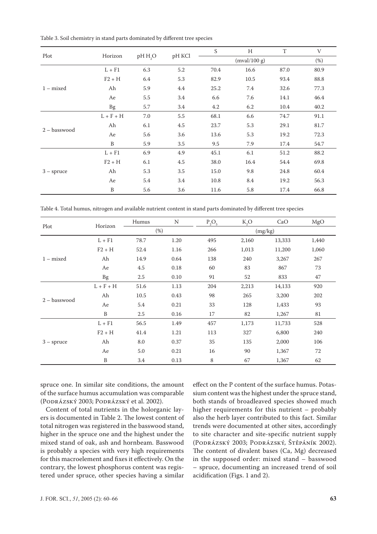Table 3. Soil chemistry in stand parts dominated by different tree species

| Plot         |             |                     |        | $\mathbf S$ | H            | T    | V    |
|--------------|-------------|---------------------|--------|-------------|--------------|------|------|
|              | Horizon     | pH H <sub>2</sub> O | pH KCl |             | (mval/100 g) |      |      |
| $1 - mixed$  | $L + F1$    | 6.3                 | 5.2    | 70.4        | 16.6         | 87.0 | 80.9 |
|              | $F2 + H$    | 6.4                 | 5.3    | 82.9        | 10.5         | 93.4 | 88.8 |
|              | Ah          | 5.9                 | 4.4    | 25.2        | 7.4          | 32.6 | 77.3 |
|              | Ae          | 5.5                 | 3.4    | 6.6         | 7.6          | 14.1 | 46.4 |
|              | <b>Bg</b>   | 5.7                 | 3.4    | 4.2         | 6.2          | 10.4 | 40.2 |
| 2 – basswood | $L + F + H$ | 7.0                 | 5.5    | 68.1        | 6.6          | 74.7 | 91.1 |
|              | Ah          | 6.1                 | 4.5    | 23.7        | 5.3          | 29.1 | 81.7 |
|              | Ae          | 5.6                 | 3.6    | 13.6        | 5.3          | 19.2 | 72.3 |
|              | B           | 5.9                 | 3.5    | 9.5         | 7.9          | 17.4 | 54.7 |
| $3$ – spruce | $L + F1$    | 6.9                 | 4.9    | 45.1        | 6.1          | 51.2 | 88.2 |
|              | $F2 + H$    | 6.1                 | 4.5    | 38.0        | 16.4         | 54.4 | 69.8 |
|              | Ah          | 5.3                 | 3.5    | 15.0        | 9.8          | 24.8 | 60.4 |
|              | Ae          | 5.4                 | 3.4    | 10.8        | 8.4          | 19.2 | 56.3 |
|              | B           | 5.6                 | 3.6    | 11.6        | 5.8          | 17.4 | 66.8 |

Table 4. Total humus, nitrogen and available nutrient content in stand parts dominated by different tree species

| Plot         | Horizon     | Humus | N    | $P_2O_5$ | K, O  | CaO    | MgO   |
|--------------|-------------|-------|------|----------|-------|--------|-------|
|              |             | (%)   |      | (mg/kg)  |       |        |       |
| $1 - mixed$  | $L + F1$    | 78.7  | 1.20 | 495      | 2,160 | 13,333 | 1,440 |
|              | $F2 + H$    | 52.4  | 1.16 | 266      | 1,013 | 11,200 | 1,060 |
|              | Ah          | 14.9  | 0.64 | 138      | 240   | 3,267  | 267   |
|              | Ae          | 4.5   | 0.18 | 60       | 83    | 867    | 73    |
|              | <b>Bg</b>   | 2.5   | 0.10 | 91       | 52    | 833    | 47    |
| 2 – basswood | $L + F + H$ | 51.6  | 1.13 | 204      | 2,213 | 14,133 | 920   |
|              | Ah          | 10.5  | 0.43 | 98       | 265   | 3,200  | 202   |
|              | Ae          | 5.4   | 0.21 | 33       | 128   | 1,433  | 93    |
|              | B           | 2.5   | 0.16 | 17       | 82    | 1,267  | 81    |
| $3$ – spruce | $L + F1$    | 56.5  | 1.49 | 457      | 1,173 | 11,733 | 528   |
|              | $F2 + H$    | 41.4  | 1.21 | 113      | 327   | 6,800  | 240   |
|              | Ah          | 8.0   | 0.37 | 35       | 135   | 2,000  | 106   |
|              | Ae          | 5.0   | 0.21 | 16       | 90    | 1,367  | 72    |
|              | B           | 3.4   | 0.13 | 8        | 67    | 1,367  | 62    |

spruce one. In similar site conditions, the amount of the surface humus accumulation was comparable (PODRÁZSKÝ 2003; PODRÁZSKÝ et al. 2002).

Content of total nutrients in the holorganic layers is documented in Table 2. The lowest content of total nitrogen was registered in the basswood stand, higher in the spruce one and the highest under the mixed stand of oak, ash and hornbeam. Basswood is probably a species with very high requirements for this macroelement and fixes it effectively. On the contrary, the lowest phosphorus content was registered under spruce, other species having a similar

effect on the P content of the surface humus. Potassium content was the highest under the spruce stand, both stands of broadleaved species showed much higher requirements for this nutrient – probably also the herb layer contributed to this fact. Similar trends were documented at other sites, accordingly to site character and site-specific nutrient supply (PODRÁZSKÝ 2003; PODRÁZSKÝ, ŠTĚPÁNÍK 2002). The content of divalent bases (Ca, Mg) decreased in the supposed order: mixed stand – basswood – spruce, documenting an increased trend of soil acidification (Figs. 1 and 2).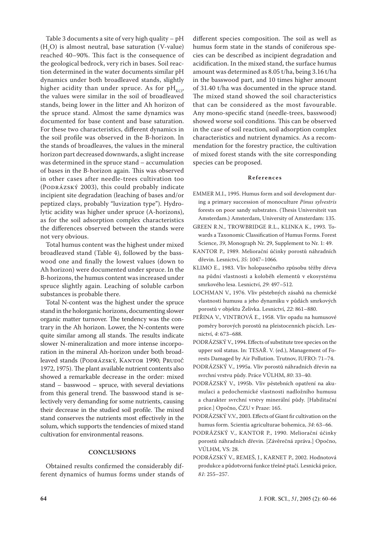Table 3 documents a site of very high quality – pH  $(H<sub>2</sub>O)$  is almost neutral, base saturation (V-value) reached 40–90%. This fact is the consequence of the geological bedrock, very rich in bases. Soil reaction determined in the water documents similar pH dynamics under both broadleaved stands, slightly higher acidity than under spruce. As for  $pH_{KCl}$ , the values were similar in the soil of broadleaved stands, being lower in the litter and Ah horizon of the spruce stand. Almost the same dynamics was documented for base content and base saturation. For these two characteristics, different dynamics in the soil profile was observed in the B-horizon. In the stands of broadleaves, the values in the mineral horizon part decreased downwards, a slight increase was determined in the spruce stand – accumulation of bases in the B-horizon again. This was observed in other cases after needle-trees cultivation too (PODRÁZSKÝ 2003), this could probably indicate incipient site degradation (leaching of bases and/or peptized clays, probably "luvization type"). Hydrolytic acidity was higher under spruce (A-horizons), as for the soil adsorption complex characteristics the differences observed between the stands were not very obvious.

Total humus content was the highest under mixed broadleaved stand (Table 4), followed by the basswood one and finally the lowest values (down to Ah horizon) were documented under spruce. In the B-horizons, the humus content was increased under spruce slightly again. Leaching of soluble carbon substances is probable there.

Total N-content was the highest under the spruce stand in the holorganic horizons, documenting slower organic matter turnover. The tendency was the contrary in the Ah horizon. Lower, the N-contents were quite similar among all stands. The results indicate slower N-mineralization and more intense incorporation in the mineral Ah-horizon under both broadleaved stands (PODRÁZSKÝ, KANTOR 1990; PRUDIČ 1972, 1975). The plant available nutrient contents also showed a remarkable decrease in the order: mixed stand – basswood – spruce, with several deviations from this general trend. The basswood stand is selectively very demanding for some nutrients, causing their decrease in the studied soil profile. The mixed stand conserves the nutrients most effectively in the solum, which supports the tendencies of mixed stand cultivation for environmental reasons.

#### **CONCLUSIONS**

Obtained results confirmed the considerably different dynamics of humus forms under stands of

different species composition. The soil as well as humus form state in the stands of coniferous species can be described as incipient degradation and acidification. In the mixed stand, the surface humus amount was determined as 8.05 t/ha, being 3.16 t/ha in the basswood part, and 10 times higher amount of 31.40 t/ha was documented in the spruce stand. The mixed stand showed the soil characteristics that can be considered as the most favourable. Any mono-specific stand (needle-trees, basswood) showed worse soil conditions. This can be observed in the case of soil reaction, soil adsorption complex characteristics and nutrient dynamics. As a recommendation for the forestry practice, the cultivation of mixed forest stands with the site corresponding species can be proposed.

#### **R e f e r e n c e s**

- EMMER M.I., 1995. Humus form and soil development during a primary succession of monoculture *Pinus sylvestris* forests on poor sandy substrates. (Thesis Universiteit van Amsterdam.) Amsterdam, University of Amsterdam: 135.
- GREEN R.N., TROWBRIDGE R.L., KLINKA K., 1993. Towards a Taxonomic Classification of Humus Forms. Forest Science, *39*, Monograph Nr. 29, Supplement to Nr. 1: 49.
- KANTOR P., 1989. Meliorační účinky porostů náhradních dřevin. Lesnictví, *35*: 1047–1066.
- KLIMO E., 1983. Vliv holopasečného způsobu těžby dřeva na půdní vlastnosti a koloběh elementů v ekosystému smrkového lesa. Lesnictví, *29*: 497–512.
- LOCHMAN V., 1976. Vliv pěstebných zásahů na chemické vlastnosti humusu a jeho dynamiku v půdách smrkových porostů v objektu Želivka. Lesnictví, *22*: 861–880.
- PEŘINA V., VINTROVÁ E., 1958. Vliv opadu na humusové poměry borových porostů na pleistocenních píscích. Lesnictví, *4*: 673–688.
- PODRÁZSKÝ V., 1994. Effects of substitute tree species on the upper soil status. In: TESAŘ. V. (ed.), Management of Forests Damaged by Air Pollution. Trutnov, IUFRO: 71–74.
- PODRÁZSKÝ V., 1995a. Vliv porostů náhradních dřevin na svrchní vrstvu půdy. Práce VÚLHM, *80*: 33–40.
- PODRÁZSKÝ V., 1995b. Vliv pěstebních opatření na akumulaci a pedochemické vlastnosti nadložního humusu a charakter svrchní vrstvy minerální půdy. [Habilitační práce.] Opočno, ČZU v Praze: 165.
- PODRÁZSKÝ V.V., 2003. Effects of Giant fir cultivation on the humus form. Scientia agriculturae bohemica, *34*: 63–66.
- PODRÁZSKÝ V., KANTOR P., 1990. Meliorační účinky porostů náhradních dřevin. [Závěrečná zpráva.] Opočno, VÚLHM, VS: 28.
- PODRÁZSKÝ V., REMEŠ, J., KARNET P., 2002. Hodnotová produkce a půdotvorná funkce třešně ptačí. Lesnická práce, *81*: 255–257.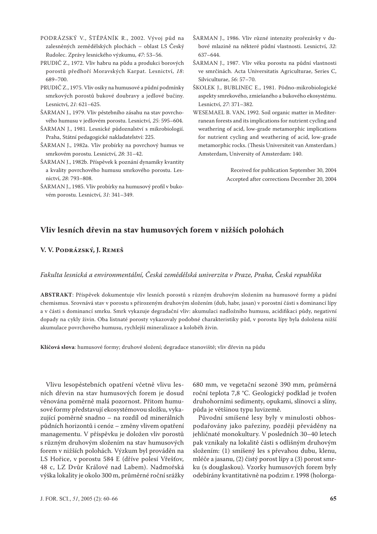PODRÁZSKÝ V., ŠTĚPÁNÍK R., 2002. Vývoj půd na zalesněných zemědělských plochách – oblast LS Český Rudolec. Zprávy lesnického výzkumu, *47*: 53–56.

PRUDIČ Z., 1972. Vliv habru na půdu a produkci borových porostů předhoří Moravských Karpat. Lesnictví, *18*: 689–700.

PRUDIČ Z., 1975. Vliv osiky na humusové a půdní podmínky smrkových porostů bukové doubravy a jedlové bučiny. Lesnictví, *21*: 621–625.

ŠARMAN J., 1979. Vliv pěstebního zásahu na stav povrchového humusu v jedlovém porostu. Lesnictví, *25*: 595–604.

- ŠARMAN J., 1981. Lesnické půdoznalství s mikrobiologií. Praha, Státní pedagogické nakladatelství: 225.
- ŠARMAN J., 1982a. Vliv probírky na povrchový humus ve smrkovém porostu. Lesnictví, *28*: 31–42.

ŠARMAN J., 1982b. Příspěvek k poznání dynamiky kvantity a kvality povrchového humusu smrkového porostu. Lesnictví, *28*: 793–808.

ŠARMAN J., 1985. Vliv probírky na humusový profil v bukovém porostu. Lesnictví, *31*: 341–349.

- ŠARMAN J., 1986. Vliv různé intenzity prořezávky v dubové mlazině na některé půdní vlastnosti. Lesnictví, *32*: 637–644.
- ŠARMAN J., 1987. Vliv věku porostu na půdní vlastnosti ve smrčinách. Acta Universitatis Agriculturae, Series C, Silviculturae, *56*: 57–70.
- ŠKOLEK J., BUBLINEC E., 1981. Pôdno-mikrobiologické aspekty smrekového, zmiešaného a bukového ekosystému. Lesnictví, *27*: 371–382.
- WESEMAEL B. VAN, 1992. Soil organic matter in Mediterranean forests and its implications for nutrient cycling and weathering of acid, low-grade metamorphic implications for nutrient cycling and weathering of acid, low-grade metamorphic rocks. (Thesis Universiteit van Amsterdam.) Amsterdam, University of Amsterdam: 140.

Received for publication September 30, 2004 Accepted after corrections December 20, 2004

# **Vliv lesních dřevin na stav humusových forem v nižších polohách**

## **V. V. PODRÁZSKÝ, J. REMEŠ**

### *Fakulta lesnická a environmentální, Česká zemědělská univerzita v Praze, Praha, Česká republika*

**ABSTRAKT**: Příspěvek dokumentuje vliv lesních porostů s různým druhovým složením na humusové formy a půdní chemismus. Srovnává stav v porostu s přirozeným druhovým složením (dub, habr, jasan) v porostní části s dominancí lípy a v části s dominancí smrku. Smrk vykazuje degradační vliv: akumulaci nadložního humusu, acidifikaci půdy, negativní dopady na cykly živin. Oba listnaté porosty vykazovaly podobné charakteristiky půd, v porostu lípy byla doložena nižší akumulace povrchového humusu, rychlejší mineralizace a koloběh živin.

**Klíčová slova**: humusové formy; druhové složení; degradace stanoviště; vliv dřevin na půdu

Vlivu lesopěstebních opatření včetně vlivu lesních dřevin na stav humusových forem je dosud věnována poměrně malá pozornost. Přitom humusové formy představují ekosystémovou složku, vykazující poměrně snadno – na rozdíl od minerálních půdních horizontů i cenóz – změny vlivem opatření managementu. V příspěvku je doložen vliv porostů s různým druhovým složením na stav humusových forem v nižších polohách. Výzkum byl prováděn na LS Hořice, v porostu 584 E (dříve polesí Vřešťov, 48 c, LZ Dvůr Králové nad Labem). Nadmořská výška lokality je okolo 300 m, průměrné roční srážky 680 mm, ve vegetační sezoně 390 mm, průměrná roční teplota 7,8 °C. Geologický podklad je tvořen druhohorními sedimenty, opukami, slínovci a slíny, půda je většinou typu luvizemě.

Původní smíšené lesy byly v minulosti obhospodařovány jako pařeziny, později převáděny na jehličnaté monokultury. V posledních 30–40 letech pak vznikaly na lokalitě části s odlišným druhovým složením: (1) smíšený les s převahou dubu, klenu, mléče a jasanu, (2) čistý porost lípy a (3) porost smrku (s douglaskou). Vzorky humusových forem byly odebírány kvantitativně na podzim r. 1998 (holorga